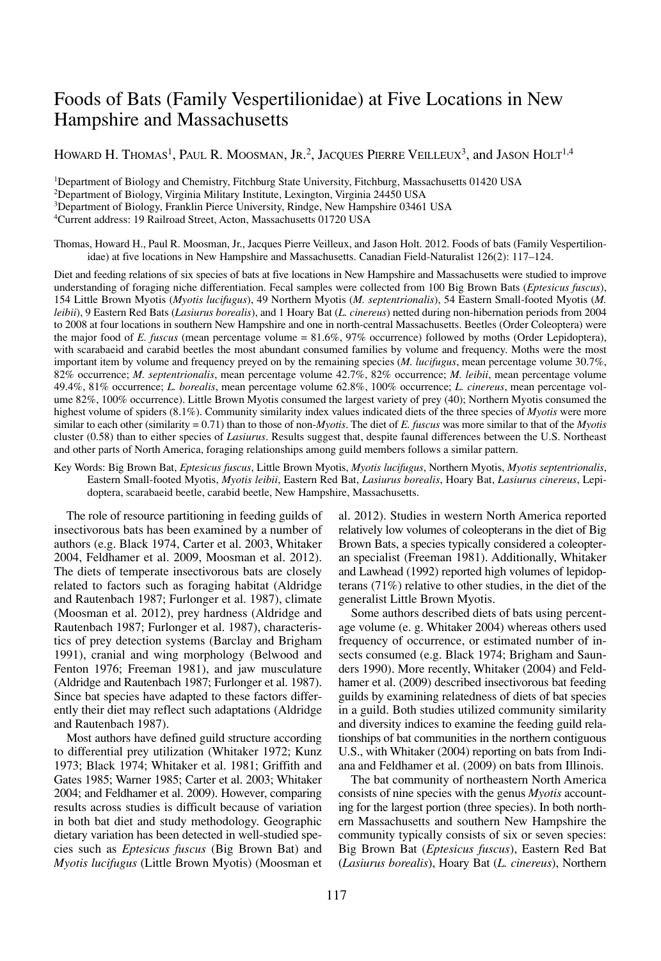# Foods of Bats (Family Vespertilionidae) at Five Locations in New Hampshire and Massachusetts

HOWARD H. THOMAS<sup>1</sup>, PAUL R. MOOSMAN, JR.<sup>2</sup>, JACOUES PIERRE VEILLEUX<sup>3</sup>, and JASON HOLT<sup>1,4</sup>

1Department of Biology and Chemistry, Fitchburg State University, Fitchburg, Massachusetts 01420 USA 2Department of Biology, Virginia Military Institute, Lexington, Virginia 24450 USA 3Department of Biology, Franklin Pierce University, Rindge, New Hampshire 03461 USA 4Current address: 19 Railroad Street, Acton, Massachusetts 01720 USA

Thomas, Howard H., Paul R. Moosman, Jr., Jacques Pierre Veilleux, and Jason Holt. 2012. Foods of bats (Family Vespertilionidae) at five locations in New Hampshire and Massachusetts. Canadian Field-Naturalist 126(2): 117–124.

Diet and feeding relations of six species of bats at five locations in New Hampshire and Massachusetts were studied to improve understanding of foraging niche differentiation. Fecal samples were collected from 100 Big Brown Bats (*Eptesicus fuscus*), 154 Little Brown Myotis (*Myotis lucifugus*), 49 Northern Myotis (*M. septentrionalis*), 54 Eastern Small-footed Myotis (*M. leibii*), 9 Eastern Red Bats (*Lasiurus borealis*), and 1 Hoary Bat (*L. cinereus*) netted during non-hibernation periods from 2004 to 2008 at four locations in southern New Hampshire and one in north-central Massachusetts. Beetles (Order Coleoptera) were the major food of *E. fuscus* (mean percentage volume = 81.6%, 97% occurrence) followed by moths (Order Lepidoptera), with scarabaeid and carabid beetles the most abundant consumed families by volume and frequency. Moths were the most important item by volume and frequency preyed on by the remaining species (*M. lucifugus*, mean percentage volume 30.7%, 82% occurrence; *M. septentrionalis*, mean percentage volume 42.7%, 82% occurrence; *M. leibii*, mean percentage volume 49.4%, 81% occurrence; *L. borealis*, mean percentage volume 62.8%, 100% occurrence; *L. cinereus*, mean percentage volume 82%, 100% occurrence). Little Brown Myotis consumed the largest variety of prey (40); Northern Myotis consumed the highest volume of spiders (8.1%). Community similarity index values indicated diets of the three species of *Myotis* were more similar to each other (similarity = 0.71) than to those of non-*Myotis*. The diet of *E. fuscus* was more similar to that of the *Myotis* cluster (0.58) than to either species of *Lasiurus*. Results suggest that, despite faunal differences between the U.S. Northeast and other parts of North America, foraging relationships among guild members follows a similar pattern.

Key Words: Big Brown Bat, *Eptesicus fuscus*, Little Brown Myotis, *Myotis lucifugus*, Northern Myotis, *Myotis septentrionalis*, Eastern Small-footed Myotis, *Myotis leibii*, Eastern Red Bat, *Lasiurus borealis*, Hoary Bat, *Lasiurus cinereus*, Lepidoptera, scarabaeid beetle, carabid beetle, New Hampshire, Massachusetts.

The role of resource partitioning in feeding guilds of insectivorous bats has been examined by a number of authors (e.g. Black 1974, Carter et al. 2003, Whitaker 2004, Feldhamer et al. 2009, Moosman et al. 2012). The diets of temperate insectivorous bats are closely related to factors such as foraging habitat (Aldridge and Rautenbach 1987; Furlonger et al. 1987), climate (Moosman et al. 2012), prey hardness (Aldridge and Rautenbach 1987; Furlonger et al. 1987), characteristics of prey detection systems (Barclay and Brigham 1991), cranial and wing morphology (Belwood and Fenton 1976; Freeman 1981), and jaw musculature (Aldridge and Rautenbach 1987; Furlonger et al. 1987). Since bat species have adapted to these factors differently their diet may reflect such adaptations (Aldridge and Rautenbach 1987).

Most authors have defined guild structure according to differential prey utilization (Whitaker 1972; Kunz 1973; Black 1974; Whitaker et al. 1981; Griffith and Gates 1985; Warner 1985; Carter et al. 2003; Whitaker 2004; and Feldhamer et al. 2009). However, comparing results across studies is difficult because of variation in both bat diet and study methodology. Geographic dietary variation has been detected in well-studied species such as *Eptesicus fuscus* (Big Brown Bat) and *Myotis lucifugus* (Little Brown Myotis) (Moosman et

al. 2012). Studies in western North America reported relatively low volumes of coleopterans in the diet of Big Brown Bats, a species typically considered a coleopteran specialist (Freeman 1981). Additionally, Whitaker and Lawhead (1992) reported high volumes of lepidopterans (71%) relative to other studies, in the diet of the generalist Little Brown Myotis.

Some authors described diets of bats using percentage volume (e. g. Whitaker 2004) whereas others used frequency of occurrence, or estimated number of insects consumed (e.g. Black 1974; Brigham and Saunders 1990). More recently, Whitaker (2004) and Feldhamer et al. (2009) described insectivorous bat feeding guilds by examining relatedness of diets of bat species in a guild. Both studies utilized community similarity and diversity indices to examine the feeding guild relationships of bat communities in the northern contiguous U.S., with Whitaker (2004) reporting on bats from Indiana and Feldhamer et al. (2009) on bats from Illinois.

The bat community of northeastern North America consists of nine species with the genus *Myotis* accounting for the largest portion (three species). In both northern Massachusetts and southern New Hampshire the community typically consists of six or seven species: Big Brown Bat (*Eptesicus fuscus*), Eastern Red Bat (*Lasiurus borealis*), Hoary Bat (*L. cinereus*), Northern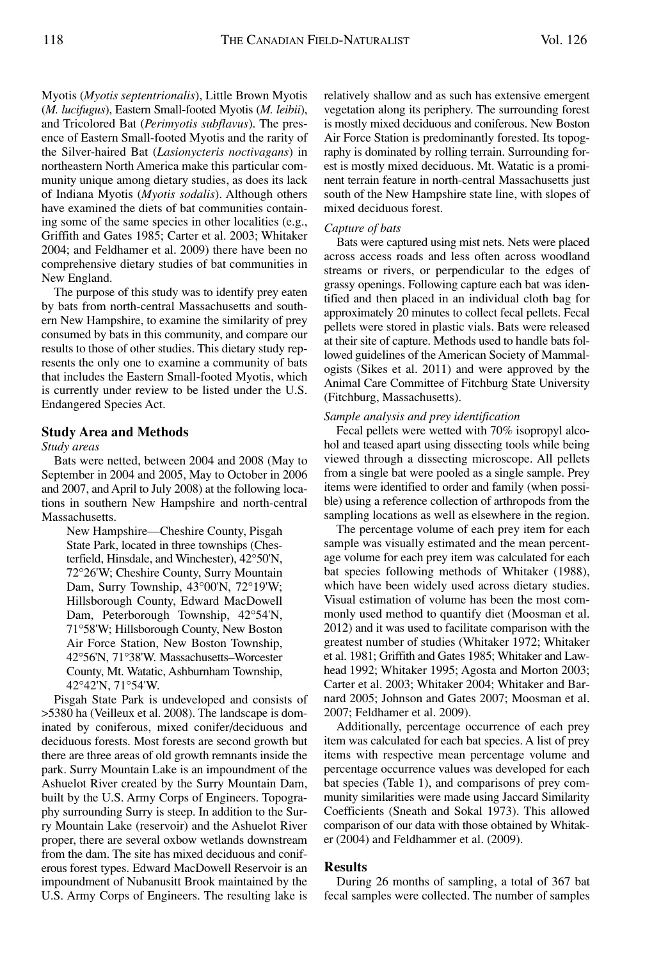Myotis (*Myotis septentrionalis*), Little Brown Myotis (*M. lucifugus*), Eastern Small-footed Myotis (*M. leibii*), and Tricolored Bat (*Perimyotis subflavus*). The presence of Eastern Small-footed Myotis and the rarity of the Silver-haired Bat (*Lasionycteris noctivagans*) in northeastern North America make this particular community unique among dietary studies, as does its lack of Indiana Myotis (*Myotis sodalis*). Although others have examined the diets of bat communities containing some of the same species in other localities (e.g., Griffith and Gates 1985; Carter et al. 2003; Whitaker 2004; and Feldhamer et al. 2009) there have been no comprehensive dietary studies of bat communities in New England.

The purpose of this study was to identify prey eaten by bats from north-central Massachusetts and southern New Hampshire, to examine the similarity of prey consumed by bats in this community, and compare our results to those of other studies. This dietary study represents the only one to examine a community of bats that includes the Eastern Small-footed Myotis, which is currently under review to be listed under the U.S. Endangered Species Act.

# **Study Area and Methods**

# *Study areas*

Bats were netted, between 2004 and 2008 (May to September in 2004 and 2005, May to October in 2006 and 2007, and April to July 2008) at the following locations in southern New Hampshire and north-central Massachusetts.

New Hampshire—Cheshire County, Pisgah State Park, located in three townships (Chesterfield, Hinsdale, and Winchester), 42°50'N, 72°26'W; Cheshire County, Surry Mountain Dam, Surry Township, 43°00'N, 72°19'W; Hillsborough County, Edward MacDowell Dam, Peterborough Township, 42°54'N, 71°58'W; Hillsborough County, New Boston Air Force Station, New Boston Township, 42°56'N, 71°38'W. Massachusetts–Worcester County, Mt. Watatic, Ashburnham Township, 42°42'N, 71°54'W.

Pisgah State Park is undeveloped and consists of >5380 ha (Veilleux et al. 2008). The landscape is dominated by coniferous, mixed conifer/deciduous and deciduous forests. Most forests are second growth but there are three areas of old growth remnants inside the park. Surry Mountain Lake is an impoundment of the Ashuelot River created by the Surry Mountain Dam, built by the U.S. Army Corps of Engineers. Topography surrounding Surry is steep. In addition to the Surry Mountain Lake (reservoir) and the Ashuelot River proper, there are several oxbow wetlands downstream from the dam. The site has mixed deciduous and coniferous forest types. Edward MacDowell Reservoir is an impoundment of Nubanusitt Brook maintained by the U.S. Army Corps of Engineers. The resulting lake is

relatively shallow and as such has extensive emergent vegetation along its periphery. The surrounding forest is mostly mixed deciduous and coniferous. New Boston Air Force Station is predominantly forested. Its topography is dominated by rolling terrain. Surrounding forest is mostly mixed deciduous. Mt. Watatic is a prominent terrain feature in north-central Massachusetts just south of the New Hampshire state line, with slopes of mixed deciduous forest.

#### *Capture of bats*

Bats were captured using mist nets. Nets were placed across access roads and less often across woodland streams or rivers, or perpendicular to the edges of grassy openings. Following capture each bat was identified and then placed in an individual cloth bag for approximately 20 minutes to collect fecal pellets. Fecal pellets were stored in plastic vials. Bats were released at their site of capture. Methods used to handle bats followed guidelines of the American Society of Mammalogists (Sikes et al. 2011) and were approved by the Animal Care Committee of Fitchburg State University (Fitchburg, Massachusetts).

# *Sample analysis and prey identification*

Fecal pellets were wetted with 70% isopropyl alcohol and teased apart using dissecting tools while being viewed through a dissecting microscope. All pellets from a single bat were pooled as a single sample. Prey items were identified to order and family (when possible) using a reference collection of arthropods from the sampling locations as well as elsewhere in the region.

The percentage volume of each prey item for each sample was visually estimated and the mean percentage volume for each prey item was calculated for each bat species following methods of Whitaker (1988), which have been widely used across dietary studies. Visual estimation of volume has been the most commonly used method to quantify diet (Moosman et al. 2012) and it was used to facilitate comparison with the greatest number of studies (Whitaker 1972; Whitaker et al. 1981; Griffith and Gates 1985; Whitaker and Lawhead 1992; Whitaker 1995; Agosta and Morton 2003; Carter et al. 2003; Whitaker 2004; Whitaker and Barnard 2005; Johnson and Gates 2007; Moosman et al. 2007; Feldhamer et al. 2009).

Additionally, percentage occurrence of each prey item was calculated for each bat species. A list of prey items with respective mean percentage volume and percentage occurrence values was developed for each bat species (Table 1), and comparisons of prey community similarities were made using Jaccard Similarity Coefficients (Sneath and Sokal 1973). This allowed comparison of our data with those obtained by Whitaker (2004) and Feldhammer et al. (2009).

# **Results**

During 26 months of sampling, a total of 367 bat fecal samples were collected. The number of samples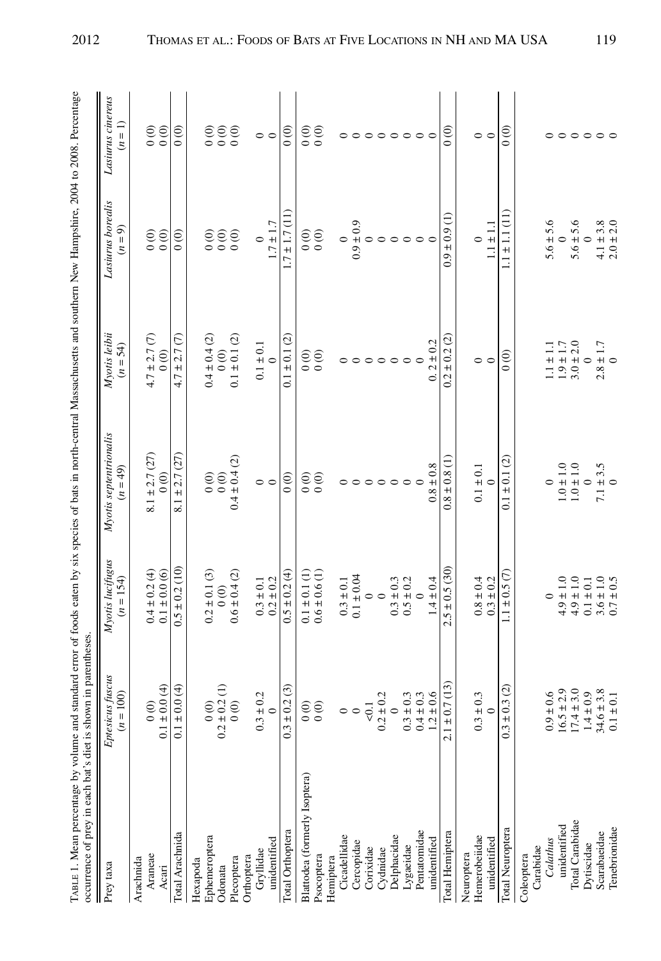| TABLE 1. Mean percentage by volume and standard error of foods eaten by six species of bats in north-central Massachusetts and southern New Hampshire, 2004 to 2008. Percentage<br>occurrence of prey in each bat's diet is shown in parentheses. |                                                                            |                                                                         |                                           |                                           |                                              |                                              |
|---------------------------------------------------------------------------------------------------------------------------------------------------------------------------------------------------------------------------------------------------|----------------------------------------------------------------------------|-------------------------------------------------------------------------|-------------------------------------------|-------------------------------------------|----------------------------------------------|----------------------------------------------|
| Prey taxa                                                                                                                                                                                                                                         | fuscus<br>$(n = 100)$<br><b>Eptesicus</b>                                  | Myotis lucifugus<br>$(n = 154)$                                         | Myotis septentrionalis<br>$(n = 49)$      | Myotis leibii<br>$(n = 54)$               | Lasiurus borealis<br>$(n = 9)$               | Lasiurus cinereus<br>$(n=1)$                 |
| Araneae<br>Arachnida                                                                                                                                                                                                                              | 0(0)                                                                       |                                                                         | $8.1 \pm 2.7$ (27)                        | $4.7 \pm 2.7$ (7)                         |                                              |                                              |
| Acari                                                                                                                                                                                                                                             | $0.1 \pm 0.0 (4)$                                                          | $\begin{array}{c} 0.4 \pm 0.2 \; (4) \\ 0.1 \pm 0.0 \; (6) \end{array}$ | $\frac{6}{6}$                             | 0(0)                                      | $\begin{matrix} 0 \\ 0 \\ 0 \end{matrix}$    | $\begin{matrix} 0 & 0 \\ 0 & 0 \end{matrix}$ |
| Total Arachnida                                                                                                                                                                                                                                   | $0.1 \pm 0.0$ (4)                                                          | $0.5 \pm 0.2$ (10)                                                      | ± 2.7(27)<br>8.1                          | $4.7 \pm 2.7$ (7)                         | (0)                                          | $_{00}^{\circ}$                              |
| Hexapoda                                                                                                                                                                                                                                          |                                                                            |                                                                         |                                           |                                           |                                              |                                              |
| Ephemeroptera<br>Odonata                                                                                                                                                                                                                          | Ξ<br>0(0)<br>$0.2 \pm 0.2$                                                 | $0.2 \pm 0.1$ (3)<br>0(0)                                               | $\begin{matrix} 0 \\ 0 \\ 0 \end{matrix}$ | $0.4 \pm 0.4$ (2)<br>$\frac{0}{0}$        | (0)                                          | $\overline{0}$                               |
| Plecoptera                                                                                                                                                                                                                                        | 0(0)                                                                       | $0.6 \pm 0.4$ (2)                                                       | $0.4 \pm 0.4$ (2)                         | $0.1 \pm 0.1$ (2)                         | $\begin{matrix} 0 & 0 \\ 0 & 0 \end{matrix}$ | $\begin{matrix} 0 & 0 \\ 0 & 0 \end{matrix}$ |
| Orthoptera                                                                                                                                                                                                                                        |                                                                            |                                                                         |                                           |                                           |                                              |                                              |
| Gryllidae                                                                                                                                                                                                                                         | L,<br>$0.3 \pm 0$                                                          | $0.3 \pm 0.1$<br>$0.2 \pm 0.2$                                          | $\circ$                                   | $0.1 \pm 0.1$<br>0                        | $\circ$                                      | $\circ$                                      |
| unidentified                                                                                                                                                                                                                                      | $\circ$                                                                    |                                                                         |                                           |                                           | $1.7 \pm 1.7$                                |                                              |
| Total Orthoptera                                                                                                                                                                                                                                  | $0.3 \pm 0.2$ (3)                                                          | $0.5 \pm 0.2$ (4)                                                       | $\circ$                                   | $\odot$<br>$0.1\pm0.1$                    | $1.7 \pm 1.7$ (11)                           | $_{0}^{\circ}$                               |
| Blattodea (formerly Isoptera)                                                                                                                                                                                                                     | $^{0}$                                                                     | $0.1 \pm 0.1$ (1)                                                       |                                           |                                           |                                              |                                              |
| Psocoptera                                                                                                                                                                                                                                        | $\overline{0}$                                                             | $0.6 \pm 0.6$ (1)                                                       | $\begin{matrix} 0 \\ 0 \\ 0 \end{matrix}$ | $\begin{matrix} 0 \\ 0 \\ 0 \end{matrix}$ | $\begin{matrix} 0 \\ 0 \\ 0 \end{matrix}$    | $\begin{matrix} 0 \\ 0 \\ 0 \end{matrix}$    |
| Hemiptera                                                                                                                                                                                                                                         |                                                                            |                                                                         |                                           |                                           |                                              |                                              |
| Cicadellidae                                                                                                                                                                                                                                      | $\circ$                                                                    | $0.3 \pm 0.1$                                                           | $\circ$                                   |                                           | $\bullet$                                    |                                              |
| Cercopidae                                                                                                                                                                                                                                        |                                                                            | $0.1 \pm 0.04$                                                          | $\circ$                                   |                                           |                                              |                                              |
| Corixidae                                                                                                                                                                                                                                         | $\overline{\textrm{c}}$                                                    | $\circ$                                                                 |                                           |                                           |                                              |                                              |
| Cydnidae                                                                                                                                                                                                                                          | $0.2 \pm 0.2$                                                              | $\circ$                                                                 |                                           |                                           |                                              |                                              |
| Delphacidae                                                                                                                                                                                                                                       | $\circ$                                                                    | $\begin{array}{c} 0.3\pm0.3\\ 0.5\pm0.2 \end{array}$                    | $\circ \circ \circ \circ$                 | 000000                                    | 0.90000000                                   | $\circ\circ\circ\circ\circ$                  |
| Lygaeidae                                                                                                                                                                                                                                         | $0.3 \pm 0$                                                                |                                                                         |                                           |                                           |                                              |                                              |
| Pentatomidae                                                                                                                                                                                                                                      | 3.36<br>$0.4 \pm 0$                                                        |                                                                         |                                           |                                           |                                              | $\circ$                                      |
| unidentified                                                                                                                                                                                                                                      | $1.2 \pm 0$                                                                | $1.4 \pm 0.4$                                                           | $0.8 \pm 0.8$                             | $0.2 \pm 0.2$                             |                                              |                                              |
| Total Hemiptera                                                                                                                                                                                                                                   | (13)<br>$2.1 \pm 0.7$                                                      | $2.5 \pm 0.5$ (30                                                       | $0.8 \pm 0.8$ (1                          | $\pm$ 0.2 (2)<br>0.2                      | $0.9 \pm 0.9$ (1)                            | $\frac{1}{2}$                                |
| Neuroptera                                                                                                                                                                                                                                        |                                                                            |                                                                         |                                           |                                           |                                              |                                              |
| Hemerobeiidae                                                                                                                                                                                                                                     | Ċ,<br>$0.3 \pm 0$                                                          | $0.8 \pm 0.4$<br>0.3 ± 0.2                                              | $0.1 \pm 0.1$                             | $\circ$                                   |                                              | $\circ$                                      |
| unidentified                                                                                                                                                                                                                                      | $\circ$                                                                    |                                                                         |                                           |                                           | $1.1 \pm 1.1$                                |                                              |
| <b>Total Neuroptera</b>                                                                                                                                                                                                                           | $0.3 \pm 0.3$ (2)                                                          | $\pm 0.5$ (7)                                                           | $\pm$ 0.1 (2)<br>$\overline{0}$ .         | $\frac{6}{10}$                            | $±1.1$ (11                                   | $\frac{6}{10}$                               |
| Carabidae<br>Coleoptera                                                                                                                                                                                                                           |                                                                            |                                                                         |                                           |                                           |                                              |                                              |
| Calathus                                                                                                                                                                                                                                          |                                                                            |                                                                         |                                           | $1.1 \pm 1.1$                             |                                              |                                              |
| unidentified                                                                                                                                                                                                                                      |                                                                            | $4.9 \pm 1.0$                                                           | $1.0 \pm 1.0$                             |                                           | $5.6 \pm 5.6$<br>0                           |                                              |
| Total Carabidae                                                                                                                                                                                                                                   | $\begin{array}{c} 0.9 \pm 0.6 \\ 16.5 \pm 2.9 \\ 17.4 \pm 3.0 \end{array}$ | $4.9 \pm 1.0$                                                           | $1.0 \pm 1.0$                             | $1.9 \pm 1.7$<br>$3.0 \pm 2.0$<br>0       | $5.6 \pm 5.6$<br>0                           |                                              |
| Dytiscidae                                                                                                                                                                                                                                        | $1.4 \pm 0.9$<br>34.6 ± 3.8<br>0.1 ± 0.1                                   | $0.1 \pm 0.1$                                                           |                                           |                                           |                                              | 000000                                       |
| Scarabaeidae                                                                                                                                                                                                                                      |                                                                            | $3.6 \pm 1.0$<br>$0.7 \pm 0.5$                                          | $7.1 \pm 3.5$<br>0                        | $2.8 \pm 1.7$ 0                           | $4.1 \pm 3.8$<br>$2.0 \pm 2.0$               |                                              |
| Tenebrionidae                                                                                                                                                                                                                                     |                                                                            |                                                                         |                                           |                                           |                                              |                                              |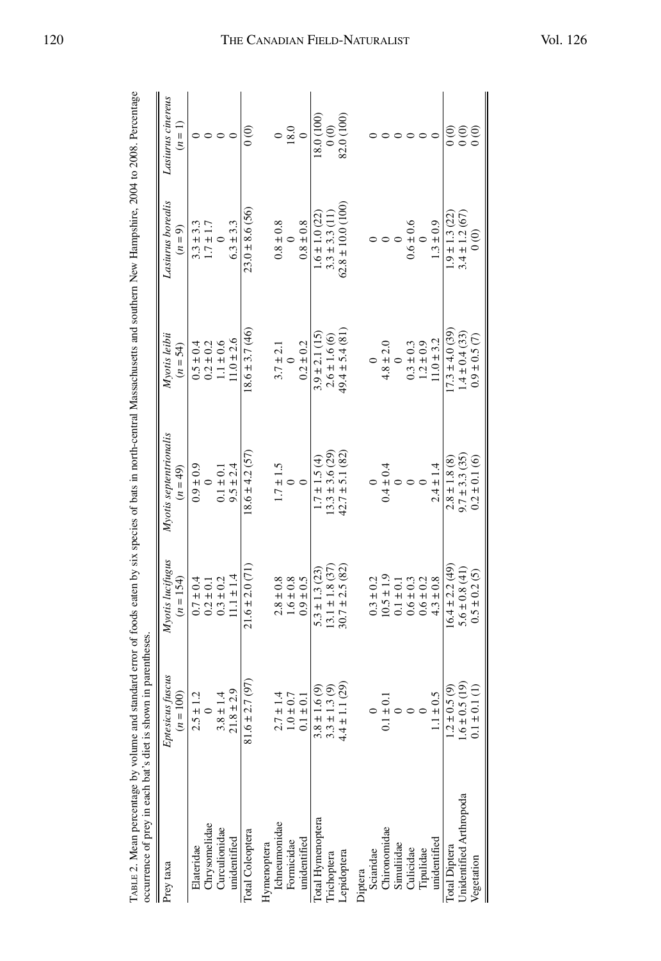| TABLE 2. Mean percentage by volume and standard error of foods eaten by six species of bats in north-central Massachusetts and southern New Hampshire, 2004 to 2008. Percentage<br>occurrence of prey in each bat's diet is shown in parentheses |                                 |                                 |                                      |                             |                                |                              |
|--------------------------------------------------------------------------------------------------------------------------------------------------------------------------------------------------------------------------------------------------|---------------------------------|---------------------------------|--------------------------------------|-----------------------------|--------------------------------|------------------------------|
| Prey taxa                                                                                                                                                                                                                                        | Eptesicus fuscus<br>$(n = 100)$ | Myotis lucifugus<br>$(n = 154)$ | Myotis septentrionalis<br>$(n = 49)$ | Myotis leibii<br>$(n = 54)$ | Lasiurus borealis<br>$(n = 9)$ | Lasiurus cinereus<br>$(n=1)$ |
| Elateridae                                                                                                                                                                                                                                       | $2.5 \pm 1.2$                   | $0.7 \pm 0.4$                   | $0.9 \pm 0.9$                        | $0.5 \pm 0.4$               | $3.3 \pm 3.3$                  |                              |
| Chrysomelidae                                                                                                                                                                                                                                    |                                 | $0.2 \pm 0.1$                   |                                      | $0.2 \pm 0.2$               | $1.7 \pm 1.7$                  |                              |
| Curculionidae                                                                                                                                                                                                                                    | $3.8 \pm 1.4$                   | $0.3 \pm 0.2$                   | $0.1 \pm 0.1$                        | $1.1 \pm 0.6$               |                                | $\circ$                      |
| unidentified                                                                                                                                                                                                                                     | $21.8 \pm 2.9$                  | $11.1 \pm 1.4$                  | $9.5 \pm 2.4$                        | $11.0 \pm 2.6$              | $6.3 \pm 3.3$                  | $\subset$                    |
| Total Coleoptera                                                                                                                                                                                                                                 | 7 (97).<br>$81.6 \pm 2$         | $21.6 \pm 2.0$ (71)             | $18.6 \pm 4.2$ (57)                  | $18.6 \pm 3.7(46)$          | $23.0 \pm 8.6$ (56)            | $_{\circ}^{\circ}$           |
| Hymenoptera                                                                                                                                                                                                                                      |                                 |                                 |                                      |                             |                                |                              |
| Ichneumonidae                                                                                                                                                                                                                                    |                                 | $2.8 \pm 0.8$                   | $1.7 \pm 1.5$                        | $3.7 \pm 2.1$               | $0.8 \pm 0.8$                  | $\circ$                      |
| Formicidae                                                                                                                                                                                                                                       | $2.7 \pm 1.4$<br>1.0 ± 0.7      | $1.6 \pm 0.8$                   |                                      |                             | $\circ$                        | 18.0                         |
| unidentified                                                                                                                                                                                                                                     | $0.1 \pm 0.1$                   | $0.9 \pm 0.5$                   | $\circ$                              | $0.2 \pm 0.2$               | $0.8 \pm 0.8$                  | $\circ$                      |
| Total Hymenoptera                                                                                                                                                                                                                                | 1.6(9)<br>$3.8 \pm$             | $5.3 \pm 1.3$ (23)              | $1.7 \pm 1.5(4)$                     | $3.9 \pm 2.1$ (15)          | $1.6 \pm 1.0$ (22)             | 18.0 (100)                   |
| <b>Trichoptera</b>                                                                                                                                                                                                                               | 1.3(9)<br>$3.3 \pm$             | $13.1 \pm 1.8$ (37)             | $13.3 \pm 3.6$ (29)                  | $2.6 \pm 1.6(6)$            | $3.3 \pm 3.3$ (11)             | $\frac{1}{2}$                |
| epidoptera                                                                                                                                                                                                                                       | .1(29)<br>$4.4 \pm 1$           | $30.7 \pm 2.5(82)$              | $42.7 \pm 5.1$ (82)                  | $49.4 \pm 5.4$ (81)         | $62.8 \pm 10.0$ (100)          | 82.0 (100)                   |
| Diptera                                                                                                                                                                                                                                          |                                 |                                 |                                      |                             |                                |                              |
| Sciaridae                                                                                                                                                                                                                                        |                                 | $0.3 \pm 0.2$                   |                                      |                             |                                |                              |
| Chironomidae                                                                                                                                                                                                                                     | $-10.1$<br>$\frac{1}{1}$        | $10.5 \pm 1.9$                  | $0.4 \pm 0.4$                        | $4.8 \pm 2.0$               |                                |                              |
| Simuliidae                                                                                                                                                                                                                                       |                                 | $0.1 \pm 0.1$                   |                                      |                             |                                |                              |
| Culicidae                                                                                                                                                                                                                                        |                                 | $0.6 \pm 0.3$                   |                                      | $0.3 \pm 0.3$               | $0.6 \pm 0.6$                  |                              |
| Tipulidae                                                                                                                                                                                                                                        |                                 | $0.6 \pm 0.2$                   |                                      | $1.2 \pm 0.9$               |                                | $\circ$                      |
| unidentified                                                                                                                                                                                                                                     | $1.1 \pm 0.5$                   | $4.3 \pm 0.8$                   | $2.4 \pm 1.4$                        | $11.0 \pm 3.2$              | $1.3 \pm 0.9$                  | ∊                            |
| Total Diptera                                                                                                                                                                                                                                    | 0.5(9)<br>$1.2 \pm 0$           | $16.4 \pm 2.2(49)$              | $2.8 \pm 1.8$ (8)                    | $17.3 \pm 4.0$ (39)         | $1.9 \pm 1.3$ (22)             | $_{\rm 0}^{\rm 6}$           |
| Unidentified Arthropoda                                                                                                                                                                                                                          | $1.6 \pm 0.5$ (19)              | $5.6 \pm 0.8$ (41)              | $9.7 \pm 3.3$ (35)                   | $1.4 \pm 0.4$ (33)          | $3.4 \pm 1.2$ (67)             | $\frac{6}{6}$                |
| Vegetation                                                                                                                                                                                                                                       | $0.1 \pm 0.1$ (1)               | $0.5 \pm 0.2$ (5)               | $0.2 \pm 0.1(6)$                     | $0.9 \pm 0.5$ (7)           | $\frac{6}{6}$                  |                              |

# THE CANADIAN FIELD-NATURALIST

Vol. 126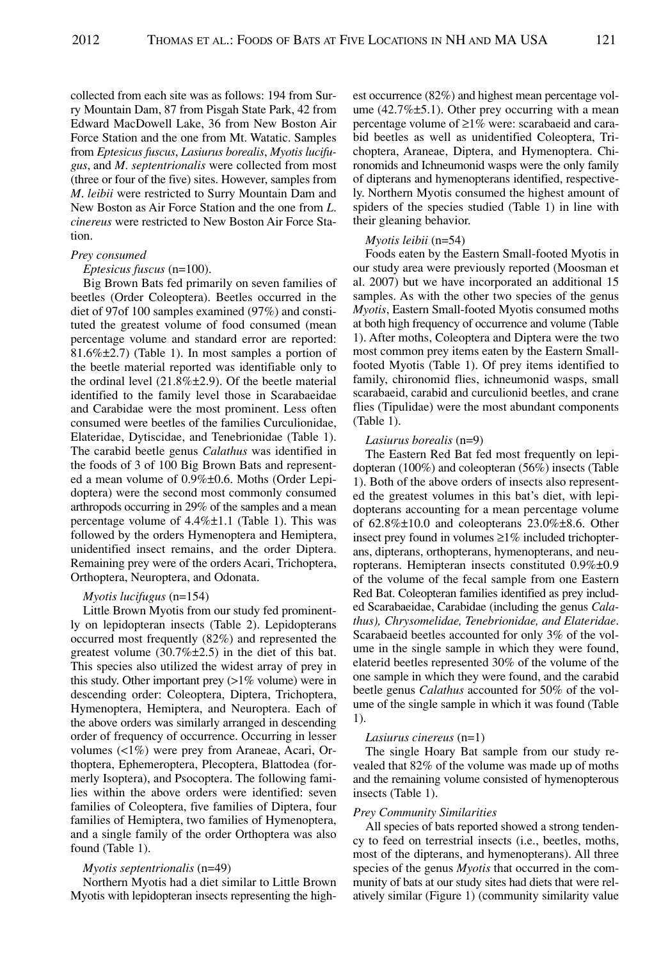collected from each site was as follows: 194 from Surry Mountain Dam, 87 from Pisgah State Park, 42 from Edward MacDowell Lake, 36 from New Boston Air Force Station and the one from Mt. Watatic. Samples from *Eptesicus fuscus*, *Lasiurus borealis*, *Myotis lucifugus*, and *M*. *septentrionalis* were collected from most (three or four of the five) sites. However, samples from *M*. *leibii* were restricted to Surry Mountain Dam and New Boston as Air Force Station and the one from *L*. *cinereus* were restricted to New Boston Air Force Station.

#### *Prey consumed*

# *Eptesicus fuscus* (n=100).

Big Brown Bats fed primarily on seven families of beetles (Order Coleoptera). Beetles occurred in the diet of 97of 100 samples examined (97%) and constituted the greatest volume of food consumed (mean percentage volume and standard error are reported: 81.6%±2.7) (Table 1). In most samples a portion of the beetle material reported was identifiable only to the ordinal level  $(21.8\% \pm 2.9)$ . Of the beetle material identified to the family level those in Scarabaeidae and Carabidae were the most prominent. Less often consumed were beetles of the families Curculionidae, Elateridae, Dytiscidae, and Tenebrionidae (Table 1). The carabid beetle genus *Calathus* was identified in the foods of 3 of 100 Big Brown Bats and represented a mean volume of 0.9%±0.6. Moths (Order Lepidoptera) were the second most commonly consumed arthropods occurring in 29% of the samples and a mean percentage volume of 4.4%±1.1 (Table 1). This was followed by the orders Hymenoptera and Hemiptera, unidentified insect remains, and the order Diptera. Remaining prey were of the orders Acari, Trichoptera, Orthoptera, Neuroptera, and Odonata.

#### *Myotis lucifugus* (n=154)

Little Brown Myotis from our study fed prominently on lepidopteran insects (Table 2). Lepidopterans occurred most frequently (82%) and represented the greatest volume  $(30.7\% \pm 2.5)$  in the diet of this bat. This species also utilized the widest array of prey in this study. Other important prey  $(>1\%$  volume) were in descending order: Coleoptera, Diptera, Trichoptera, Hymenoptera, Hemiptera, and Neuroptera. Each of the above orders was similarly arranged in descending order of frequency of occurrence. Occurring in lesser volumes (<1%) were prey from Araneae, Acari, Orthoptera, Ephemeroptera, Plecoptera, Blattodea (formerly Isoptera), and Psocoptera. The following families within the above orders were identified: seven families of Coleoptera, five families of Diptera, four families of Hemiptera, two families of Hymenoptera, and a single family of the order Orthoptera was also found (Table 1).

#### *Myotis septentrionalis* (n=49)

Northern Myotis had a diet similar to Little Brown Myotis with lepidopteran insects representing the highest occurrence (82%) and highest mean percentage volume (42.7% $\pm$ 5.1). Other prey occurring with a mean percentage volume of ≥1% were: scarabaeid and carabid beetles as well as unidentified Coleoptera, Trichoptera, Araneae, Diptera, and Hymenoptera. Chironomids and Ichneumonid wasps were the only family of dipterans and hymenopterans identified, respectively. Northern Myotis consumed the highest amount of spiders of the species studied (Table 1) in line with their gleaning behavior.

#### *Myotis leibii* (n=54)

Foods eaten by the Eastern Small-footed Myotis in our study area were previously reported (Moosman et al. 2007) but we have incorporated an additional 15 samples. As with the other two species of the genus *Myotis*, Eastern Small-footed Myotis consumed moths at both high frequency of occurrence and volume (Table 1). After moths, Coleoptera and Diptera were the two most common prey items eaten by the Eastern Smallfooted Myotis (Table 1). Of prey items identified to family, chironomid flies, ichneumonid wasps, small scarabaeid, carabid and curculionid beetles, and crane flies (Tipulidae) were the most abundant components (Table 1).

#### *Lasiurus borealis* (n=9)

The Eastern Red Bat fed most frequently on lepidopteran (100%) and coleopteran (56%) insects (Table 1). Both of the above orders of insects also represented the greatest volumes in this bat's diet, with lepidopterans accounting for a mean percentage volume of 62.8%±10.0 and coleopterans 23.0%±8.6. Other insect prey found in volumes ≥1% included trichopterans, dipterans, orthopterans, hymenopterans, and neuropterans. Hemipteran insects constituted 0.9%±0.9 of the volume of the fecal sample from one Eastern Red Bat. Coleopteran families identified as prey included Scarabaeidae, Carabidae (including the genus *Calathus), Chrysomelidae, Tenebrionidae, and Elateridae*. Scarabaeid beetles accounted for only 3% of the volume in the single sample in which they were found, elaterid beetles represented 30% of the volume of the one sample in which they were found, and the carabid beetle genus *Calathus* accounted for 50% of the volume of the single sample in which it was found (Table 1).

#### *Lasiurus cinereus* (n=1)

The single Hoary Bat sample from our study revealed that 82% of the volume was made up of moths and the remaining volume consisted of hymenopterous insects (Table 1).

#### *Prey Community Similarities*

All species of bats reported showed a strong tendency to feed on terrestrial insects (i.e., beetles, moths, most of the dipterans, and hymenopterans). All three species of the genus *Myotis* that occurred in the community of bats at our study sites had diets that were relatively similar (Figure 1) (community similarity value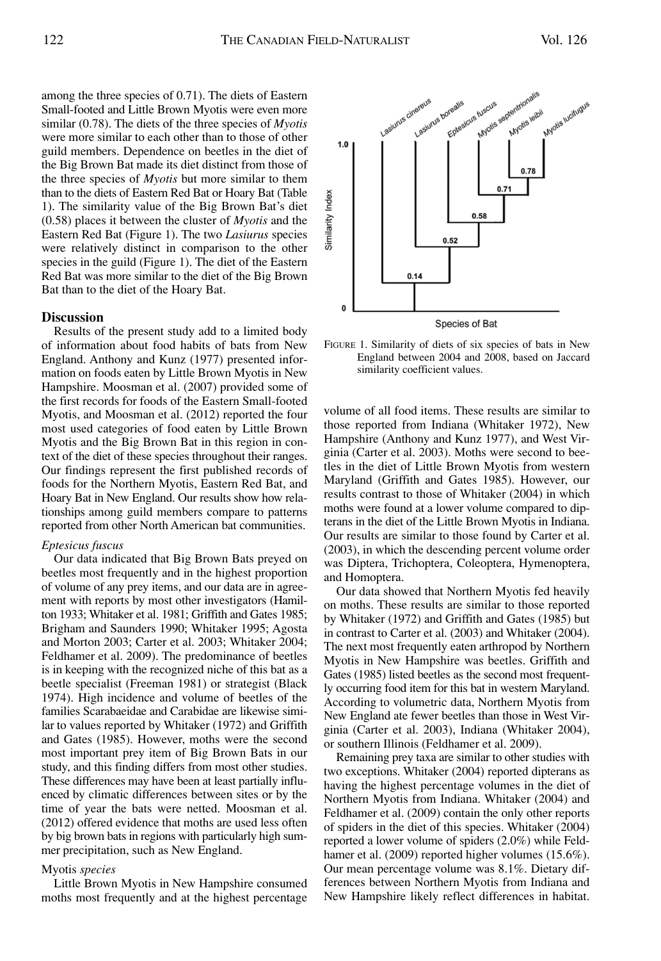among the three species of 0.71). The diets of Eastern Small-footed and Little Brown Myotis were even more similar (0.78). The diets of the three species of *Myotis* were more similar to each other than to those of other guild members. Dependence on beetles in the diet of the Big Brown Bat made its diet distinct from those of the three species of *Myotis* but more similar to them than to the diets of Eastern Red Bat or Hoary Bat (Table 1). The similarity value of the Big Brown Bat's diet (0.58) places it between the cluster of *Myotis* and the Eastern Red Bat (Figure 1). The two *Lasiurus* species were relatively distinct in comparison to the other species in the guild (Figure 1). The diet of the Eastern Red Bat was more similar to the diet of the Big Brown Bat than to the diet of the Hoary Bat.

# **Discussion**

Results of the present study add to a limited body of information about food habits of bats from New England. Anthony and Kunz (1977) presented information on foods eaten by Little Brown Myotis in New Hampshire. Moosman et al. (2007) provided some of the first records for foods of the Eastern Small-footed Myotis, and Moosman et al. (2012) reported the four most used categories of food eaten by Little Brown Myotis and the Big Brown Bat in this region in context of the diet of these species throughout their ranges. Our findings represent the first published records of foods for the Northern Myotis, Eastern Red Bat, and Hoary Bat in New England. Our results show how relationships among guild members compare to patterns reported from other North American bat communities.

# *Eptesicus fuscus*

Our data indicated that Big Brown Bats preyed on beetles most frequently and in the highest proportion of volume of any prey items, and our data are in agreement with reports by most other investigators (Hamilton 1933; Whitaker et al. 1981; Griffith and Gates 1985; Brigham and Saunders 1990; Whitaker 1995; Agosta and Morton 2003; Carter et al. 2003; Whitaker 2004; Feldhamer et al. 2009). The predominance of beetles is in keeping with the recognized niche of this bat as a beetle specialist (Freeman 1981) or strategist (Black 1974). High incidence and volume of beetles of the families Scarabaeidae and Carabidae are likewise similar to values reported by Whitaker (1972) and Griffith and Gates (1985). However, moths were the second most important prey item of Big Brown Bats in our study, and this finding differs from most other studies. These differences may have been at least partially influenced by climatic differences between sites or by the time of year the bats were netted. Moosman et al. (2012) offered evidence that moths are used less often by big brown bats in regions with particularly high summer precipitation, such as New England.

#### Myotis *species*

Little Brown Myotis in New Hampshire consumed moths most frequently and at the highest percentage



FIGURE 1. Similarity of diets of six species of bats in New England between 2004 and 2008, based on Jaccard similarity coefficient values.

volume of all food items. These results are similar to those reported from Indiana (Whitaker 1972), New Hampshire (Anthony and Kunz 1977), and West Virginia (Carter et al. 2003). Moths were second to beetles in the diet of Little Brown Myotis from western Maryland (Griffith and Gates 1985). However, our results contrast to those of Whitaker (2004) in which moths were found at a lower volume compared to dipterans in the diet of the Little Brown Myotis in Indiana. Our results are similar to those found by Carter et al. (2003), in which the descending percent volume order was Diptera, Trichoptera, Coleoptera, Hymenoptera, and Homoptera.

Our data showed that Northern Myotis fed heavily on moths. These results are similar to those reported by Whitaker (1972) and Griffith and Gates (1985) but in contrast to Carter et al. (2003) and Whitaker (2004). The next most frequently eaten arthropod by Northern Myotis in New Hampshire was beetles. Griffith and Gates (1985) listed beetles as the second most frequently occurring food item for this bat in western Maryland. According to volumetric data, Northern Myotis from New England ate fewer beetles than those in West Virginia (Carter et al. 2003), Indiana (Whitaker 2004), or southern Illinois (Feldhamer et al. 2009).

Remaining prey taxa are similar to other studies with two exceptions. Whitaker (2004) reported dipterans as having the highest percentage volumes in the diet of Northern Myotis from Indiana. Whitaker (2004) and Feldhamer et al. (2009) contain the only other reports of spiders in the diet of this species. Whitaker (2004) reported a lower volume of spiders (2.0%) while Feldhamer et al. (2009) reported higher volumes (15.6%). Our mean percentage volume was 8.1%. Dietary differences between Northern Myotis from Indiana and New Hampshire likely reflect differences in habitat.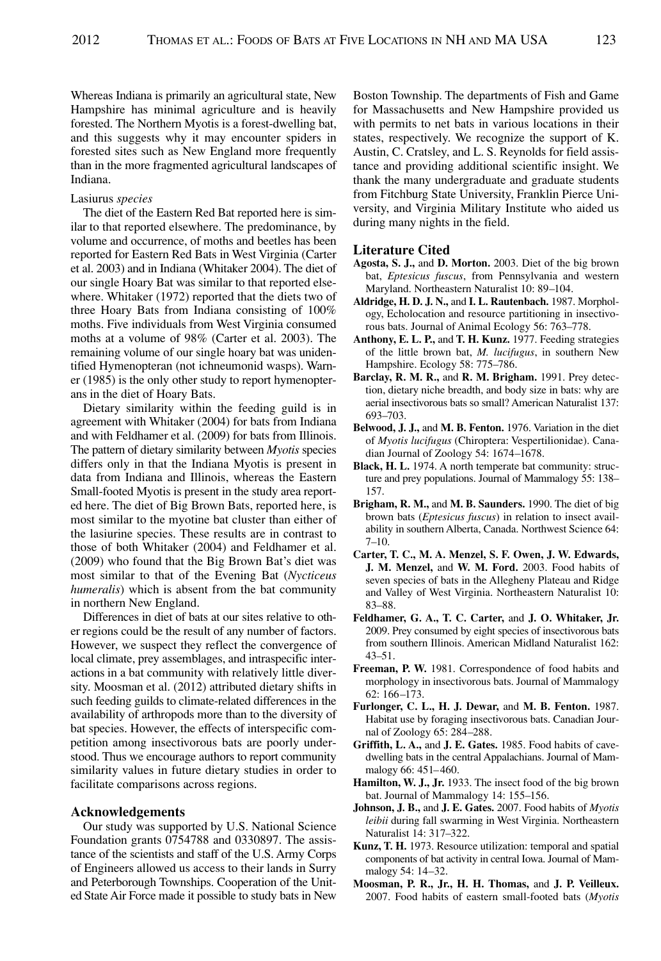Whereas Indiana is primarily an agricultural state, New Hampshire has minimal agriculture and is heavily forested. The Northern Myotis is a forest-dwelling bat, and this suggests why it may encounter spiders in forested sites such as New England more frequently than in the more fragmented agricultural landscapes of Indiana.

#### Lasiurus *species*

The diet of the Eastern Red Bat reported here is similar to that reported elsewhere. The predominance, by volume and occurrence, of moths and beetles has been reported for Eastern Red Bats in West Virginia (Carter et al. 2003) and in Indiana (Whitaker 2004). The diet of our single Hoary Bat was similar to that reported elsewhere. Whitaker (1972) reported that the diets two of three Hoary Bats from Indiana consisting of 100% moths. Five individuals from West Virginia consumed moths at a volume of 98% (Carter et al. 2003). The remaining volume of our single hoary bat was unidentified Hymenopteran (not ichneumonid wasps). Warner (1985) is the only other study to report hymenopterans in the diet of Hoary Bats.

Dietary similarity within the feeding guild is in agreement with Whitaker (2004) for bats from Indiana and with Feldhamer et al. (2009) for bats from Illinois. The pattern of dietary similarity between *Myotis* species differs only in that the Indiana Myotis is present in data from Indiana and Illinois, whereas the Eastern Small-footed Myotis is present in the study area reported here. The diet of Big Brown Bats, reported here, is most similar to the myotine bat cluster than either of the lasiurine species. These results are in contrast to those of both Whitaker (2004) and Feldhamer et al. (2009) who found that the Big Brown Bat's diet was most similar to that of the Evening Bat (*Nycticeus humeralis*) which is absent from the bat community in northern New England.

Differences in diet of bats at our sites relative to other regions could be the result of any number of factors. However, we suspect they reflect the convergence of local climate, prey assemblages, and intraspecific interactions in a bat community with relatively little diversity. Moosman et al. (2012) attributed dietary shifts in such feeding guilds to climate-related differences in the availability of arthropods more than to the diversity of bat species. However, the effects of interspecific competition among insectivorous bats are poorly understood. Thus we encourage authors to report community similarity values in future dietary studies in order to facilitate comparisons across regions.

# **Acknowledgements**

Our study was supported by U.S. National Science Foundation grants 0754788 and 0330897. The assistance of the scientists and staff of the U.S. Army Corps of Engineers allowed us access to their lands in Surry and Peterborough Townships. Cooperation of the United State Air Force made it possible to study bats in New Boston Township. The departments of Fish and Game for Massachusetts and New Hampshire provided us with permits to net bats in various locations in their states, respectively. We recognize the support of K. Austin, C. Cratsley, and L. S. Reynolds for field assistance and providing additional scientific insight. We thank the many undergraduate and graduate students from Fitchburg State University, Franklin Pierce University, and Virginia Military Institute who aided us during many nights in the field.

# **Literature Cited**

- **Agosta, S. J.,** and **D. Morton.** 2003. Diet of the big brown bat, *Eptesicus fuscus*, from Pennsylvania and western Maryland. Northeastern Naturalist 10: 89–104.
- **Aldridge, H. D. J. N.,** and **I. L. Rautenbach.** 1987. Morphology, Echolocation and resource partitioning in insectivorous bats. Journal of Animal Ecology 56: 763–778.
- **Anthony, E. L. P.,** and **T. H. Kunz.** 1977. Feeding strategies of the little brown bat, *M. lucifugus*, in southern New Hampshire. Ecology 58: 775–786.
- **Barclay, R. M. R.,** and **R. M. Brigham.** 1991. Prey detection, dietary niche breadth, and body size in bats: why are aerial insectivorous bats so small? American Naturalist 137: 693–703.
- **Belwood, J. J.,** and **M. B. Fenton.** 1976. Variation in the diet of *Myotis lucifugus* (Chiroptera: Vespertilionidae). Canadian Journal of Zoology 54: 1674–1678.
- **Black, H. L.** 1974. A north temperate bat community: structure and prey populations. Journal of Mammalogy 55: 138– 157.
- **Brigham, R. M.,** and **M. B. Saunders.** 1990. The diet of big brown bats (*Eptesicus fuscus*) in relation to insect availability in southern Alberta, Canada. Northwest Science 64: 7–10.
- **Carter, T. C., M. A. Menzel, S. F. Owen, J. W. Edwards, J. M. Menzel,** and **W. M. Ford.** 2003. Food habits of seven species of bats in the Allegheny Plateau and Ridge and Valley of West Virginia. Northeastern Naturalist 10: 83–88.
- **Feldhamer, G. A., T. C. Carter,** and **J. O. Whitaker, Jr.** 2009. Prey consumed by eight species of insectivorous bats from southern Illinois. American Midland Naturalist 162: 43–51.
- **Freeman, P. W.** 1981. Correspondence of food habits and morphology in insectivorous bats. Journal of Mammalogy 62: 166–173.
- **Furlonger, C. L., H. J. Dewar,** and **M. B. Fenton.** 1987. Habitat use by foraging insectivorous bats. Canadian Journal of Zoology 65: 284–288.
- **Griffith, L. A.,** and **J. E. Gates.** 1985. Food habits of cavedwelling bats in the central Appalachians. Journal of Mammalogy 66: 451–460.
- **Hamilton, W. J., Jr.** 1933. The insect food of the big brown bat. Journal of Mammalogy 14: 155–156.
- **Johnson, J. B.,** and **J. E. Gates.** 2007. Food habits of *Myotis leibii* during fall swarming in West Virginia. Northeastern Naturalist 14: 317–322.
- **Kunz, T. H.** 1973. Resource utilization: temporal and spatial components of bat activity in central Iowa. Journal of Mammalogy 54: 14–32.
- **Moosman, P. R., Jr., H. H. Thomas,** and **J. P. Veilleux.** 2007. Food habits of eastern small-footed bats (*Myotis*